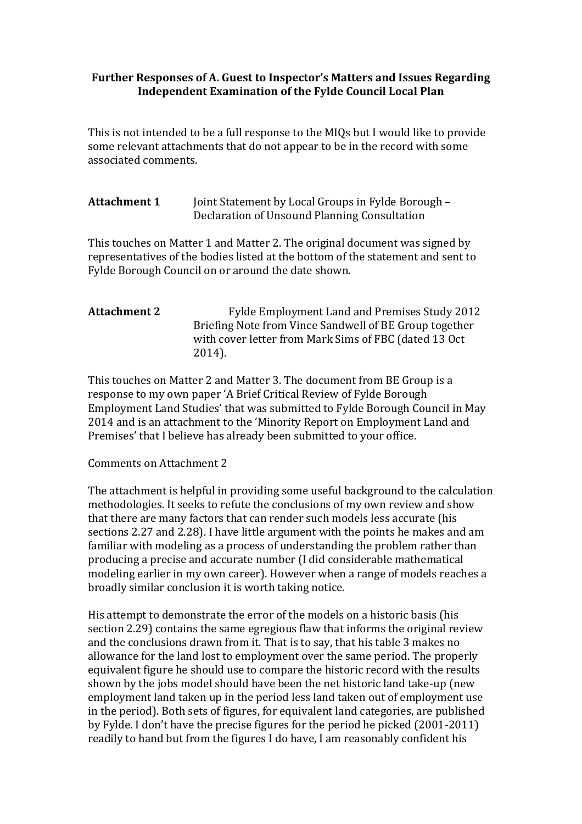## **Further Responses of A. Guest to Inspector's Matters and Issues Regarding Independent Examination of the Fylde Council Local Plan**

This is not intended to be a full response to the MIQs but I would like to provide some relevant attachments that do not appear to be in the record with some associated comments.

**Attachment 1** Joint Statement by Local Groups in Fylde Borough – Declaration of Unsound Planning Consultation

This touches on Matter 1 and Matter 2. The original document was signed by representatives of the bodies listed at the bottom of the statement and sent to Fylde Borough Council on or around the date shown.

## **Attachment 2** Fylde Employment Land and Premises Study 2012 Briefing Note from Vince Sandwell of BE Group together with cover letter from Mark Sims of FBC (dated 13 Oct 2014).

This touches on Matter 2 and Matter 3. The document from BE Group is a response to my own paper 'A Brief Critical Review of Fylde Borough Employment Land Studies' that was submitted to Fylde Borough Council in May 2014 and is an attachment to the 'Minority Report on Employment Land and Premises' that I believe has already been submitted to your office.

## Comments on Attachment 2

The attachment is helpful in providing some useful background to the calculation methodologies. It seeks to refute the conclusions of my own review and show that there are many factors that can render such models less accurate (his sections 2.27 and 2.28). I have little argument with the points he makes and am familiar with modeling as a process of understanding the problem rather than producing a precise and accurate number (I did considerable mathematical modeling earlier in my own career). However when a range of models reaches a broadly similar conclusion it is worth taking notice.

His attempt to demonstrate the error of the models on a historic basis (his section 2.29) contains the same egregious flaw that informs the original review and the conclusions drawn from it. That is to say, that his table 3 makes no allowance for the land lost to employment over the same period. The properly equivalent figure he should use to compare the historic record with the results shown by the jobs model should have been the net historic land take-up (new employment land taken up in the period less land taken out of employment use in the period). Both sets of figures, for equivalent land categories, are published by Fylde. I don't have the precise figures for the period he picked (2001-2011) readily to hand but from the figures I do have, I am reasonably confident his